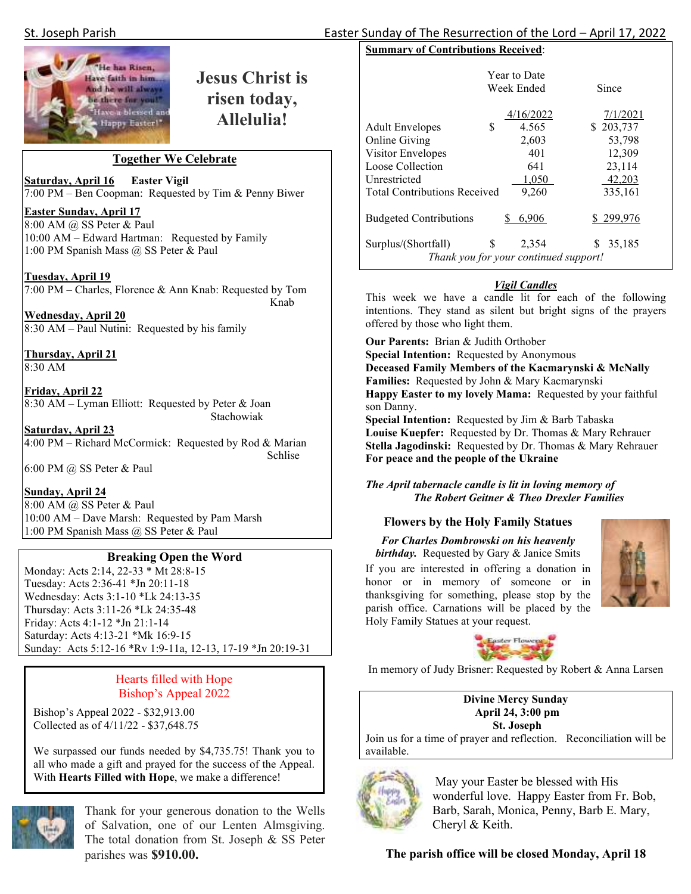

# He has Risen, Have faith in him.... and he will alway be there for you!" .<br>Have a blessed and<br>• Happy Easter!"

# **Jesus Christ is risen today, Allelulia!**

## **Together We Celebrate**

**Saturday, April 16 Easter Vigil**  7:00 PM – Ben Coopman: Requested by Tim & Penny Biwer

## **Easter Sunday, April 17**

8:00 AM @ SS Peter & Paul 10:00 AM – Edward Hartman: Requested by Family 1:00 PM Spanish Mass @ SS Peter & Paul

## **Tuesday, April 19**

7:00 PM – Charles, Florence & Ann Knab: Requested by Tom Knab Knab

**Wednesday, April 20**  8:30 AM – Paul Nutini: Requested by his family

**Thursday, April 21**  8:30 AM

**Friday, April 22**  8:30 AM – Lyman Elliott: Requested by Peter & Joan Stachowiak

**Saturday, April 23**  4:00 PM – Richard McCormick: Requested by Rod & Marian Schlise Schlise

6:00 PM @ SS Peter & Paul

**Sunday, April 24**  8:00 AM @ SS Peter & Paul 10:00 AM – Dave Marsh: Requested by Pam Marsh 1:00 PM Spanish Mass @ SS Peter & Paul

### **Breaking Open the Word**

Monday: Acts 2:14, 22-33 \* Mt 28:8-15 Tuesday: Acts 2:36-41 \*Jn 20:11-18 Wednesday: Acts 3:1-10 \*Lk 24:13-35 Thursday: Acts 3:11-26 \*Lk 24:35-48 Friday: Acts 4:1-12 \*Jn 21:1-14 Saturday: Acts 4:13-21 \*Mk 16:9-15 Sunday: Acts 5:12-16 \*Rv 1:9-11a, 12-13, 17-19 \*Jn 20:19-31

## Hearts filled with Hope Bishop's Appeal 2022

Bishop's Appeal 2022 - \$32,913.00 Collected as of 4/11/22 - \$37,648.75

We surpassed our funds needed by \$4,735.75! Thank you to all who made a gift and prayed for the success of the Appeal. With **Hearts Filled with Hope**, we make a difference!



Thank for your generous donation to the Wells of Salvation, one of our Lenten Almsgiving. The total donation from St. Joseph & SS Peter parishes was **\$910.00.** 

|                                                     | <b>Year to Date</b><br>Week Ended              | Since                 |
|-----------------------------------------------------|------------------------------------------------|-----------------------|
| S<br><b>Adult Envelopes</b>                         | 4/16/2022<br>4.565                             | 7/1/2021<br>\$203,737 |
| Online Giving<br>Visitor Envelopes                  | 2,603<br>401                                   | 53,798<br>12,309      |
| Loose Collection                                    | 641                                            | 23,114                |
| Unrestricted<br><b>Total Contributions Received</b> | 1,050                                          | 42,203                |
|                                                     | 9,260                                          | 335,161               |
| <b>Budgeted Contributions</b>                       | 6,906                                          | \$299,976             |
| Surplus/(Shortfall)<br>\$                           | 2,354<br>Thank you for your continued support! | 35,185<br>S           |

# *Vigil Candles*

This week we have a candle lit for each of the following intentions. They stand as silent but bright signs of the prayers offered by those who light them.

**Our Parents:** Brian & Judith Orthober

**Special Intention:** Requested by Anonymous **Deceased Family Members of the Kacmarynski & McNally Families:** Requested by John & Mary Kacmarynski **Happy Easter to my lovely Mama:** Requested by your faithful son Danny. **Special Intention:** Requested by Jim & Barb Tabaska

**Louise Kuepfer:** Requested by Dr. Thomas & Mary Rehrauer **Stella Jagodinski:** Requested by Dr. Thomas & Mary Rehrauer **For peace and the people of the Ukraine** 

*The April tabernacle candle is lit in loving memory of The Robert Geitner & Theo Drexler Families* 

# **Flowers by the Holy Family Statues**

*For Charles Dombrowski on his heavenly* 

*birthday.* Requested by Gary & Janice Smits If you are interested in offering a donation in honor or in memory of someone or in thanksgiving for something, please stop by the parish office. Carnations will be placed by the Holy Family Statues at your request.





In memory of Judy Brisner: Requested by Robert & Anna Larsen

#### **Divine Mercy Sunday April 24, 3:00 pm St. Joseph**

Join us for a time of prayer and reflection. Reconciliation will be available.



May your Easter be blessed with His wonderful love. Happy Easter from Fr. Bob, Barb, Sarah, Monica, Penny, Barb E. Mary, Cheryl & Keith.

**The parish office will be closed Monday, April 18**